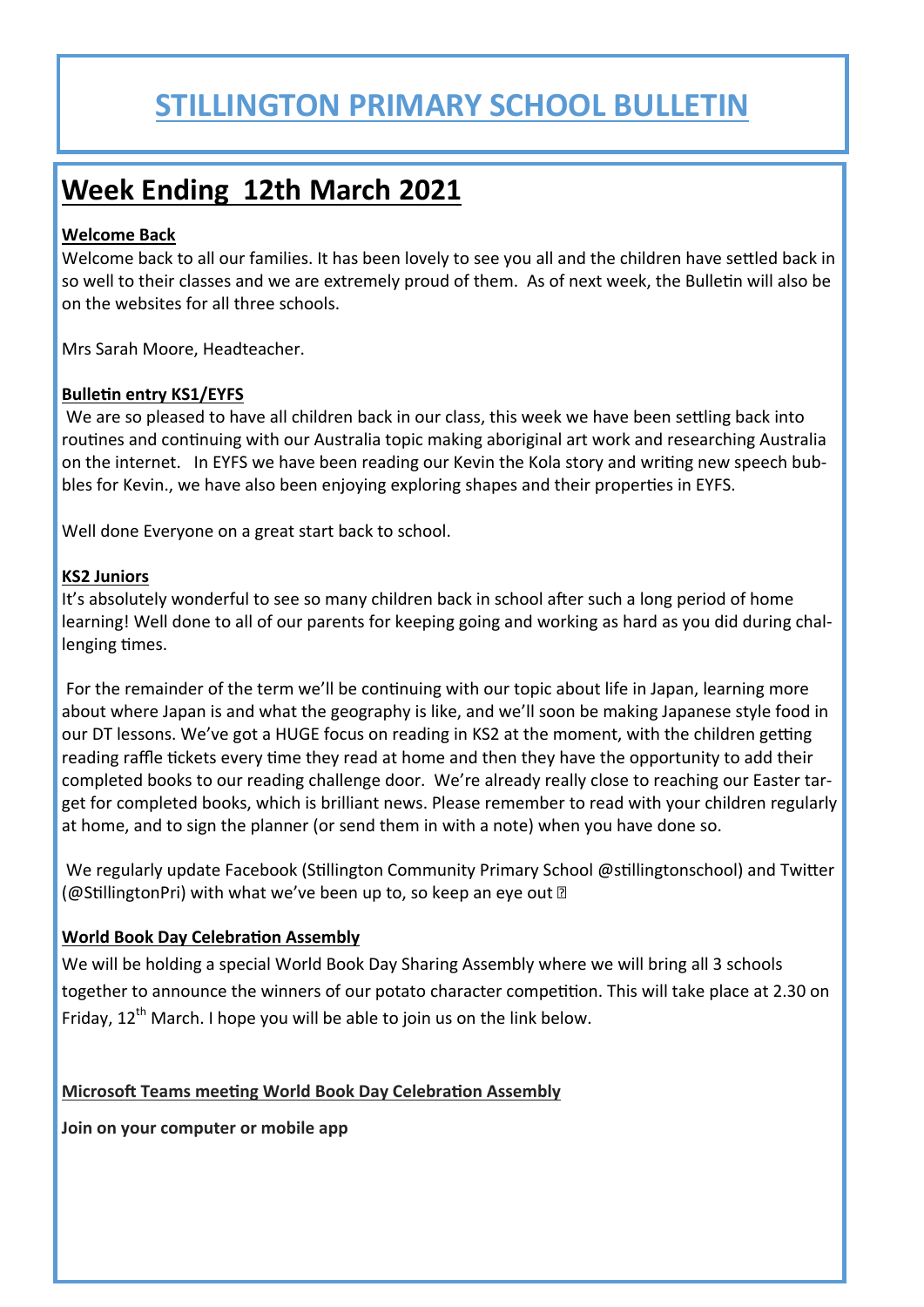## **STILLINGTON PRIMARY SCHOOL BULLETIN**

### **Week Ending 12th March 2021**

### **Welcome Back**

Welcome back to all our families. It has been lovely to see you all and the children have settled back in so well to their classes and we are extremely proud of them. As of next week, the Bulletin will also be on the websites for all three schools.

Mrs Sarah Moore, Headteacher.

### **Bulletin entry KS1/EYFS**

We are so pleased to have all children back in our class, this week we have been settling back into routines and continuing with our Australia topic making aboriginal art work and researching Australia on the internet. In EYFS we have been reading our Kevin the Kola story and writing new speech bubbles for Kevin., we have also been enjoying exploring shapes and their properties in EYFS.

Well done Everyone on a great start back to school.

### **KS2 Juniors**

It's absolutely wonderful to see so many children back in school after such a long period of home learning! Well done to all of our parents for keeping going and working as hard as you did during challenging times.

For the remainder of the term we'll be continuing with our topic about life in Japan, learning more about where Japan is and what the geography is like, and we'll soon be making Japanese style food in our DT lessons. We've got a HUGE focus on reading in KS2 at the moment, with the children getting reading raffle tickets every time they read at home and then they have the opportunity to add their completed books to our reading challenge door. We're already really close to reaching our Easter target for completed books, which is brilliant news. Please remember to read with your children regularly at home, and to sign the planner (or send them in with a note) when you have done so.

We regularly update Facebook (Stillington Community Primary School @stillingtonschool) and Twitter (@StillingtonPri) with what we've been up to, so keep an eye out  $\mathbb D$ 

### **World Book Day Celebration Assembly**

We will be holding a special World Book Day Sharing Assembly where we will bring all 3 schools together to announce the winners of our potato character competition. This will take place at 2.30 on Friday,  $12^{th}$  March. I hope you will be able to join us on the link below.

### **Microsoft Teams meeting World Book Day Celebration Assembly**

**Join on your computer or mobile app**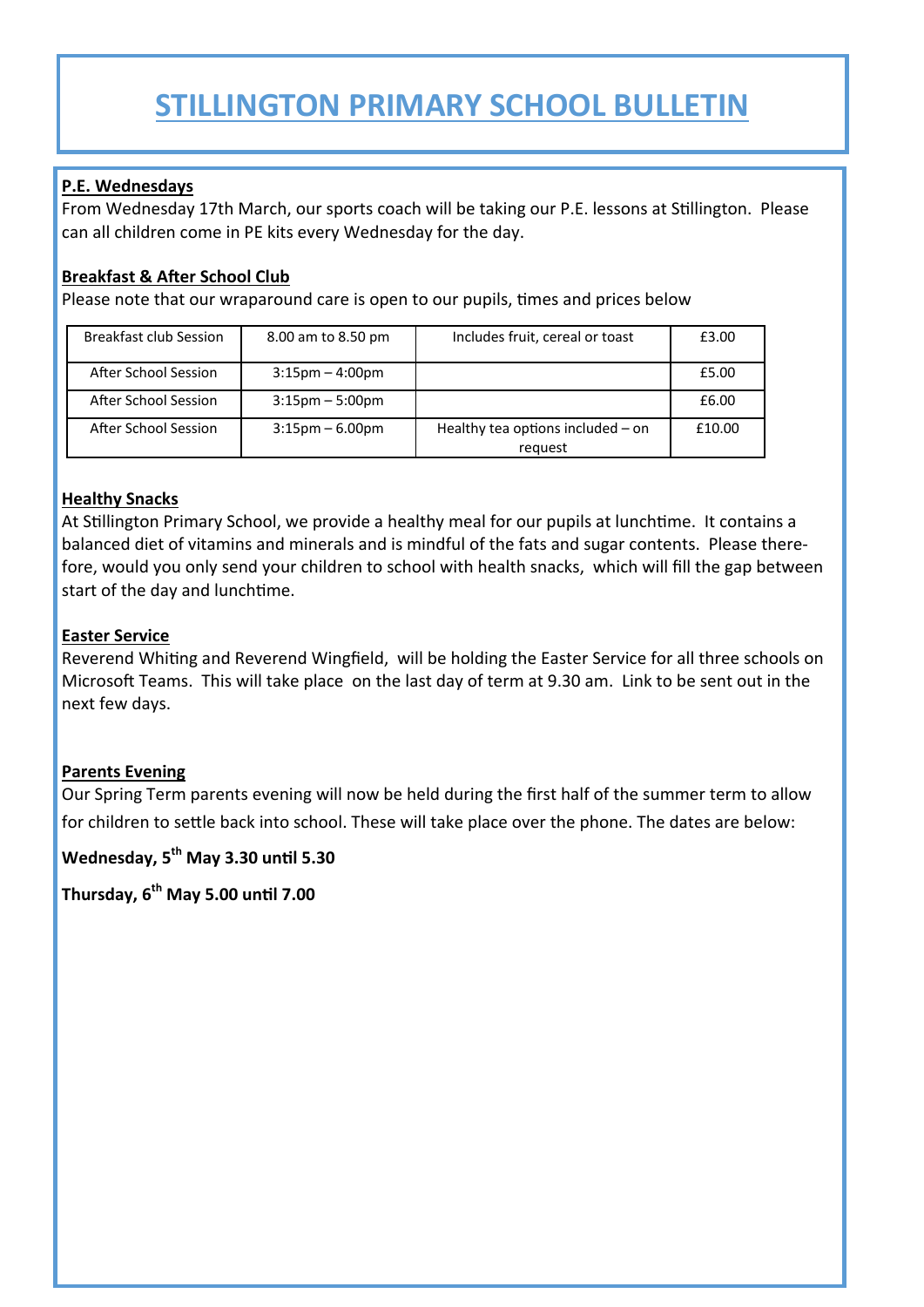## **STILLINGTON PRIMARY SCHOOL BULLETIN**

### **P.E. Wednesdays**

From Wednesday 17th March, our sports coach will be taking our P.E. lessons at Stillington. Please can all children come in PE kits every Wednesday for the day.

### **Breakfast & After School Club**

Please note that our wraparound care is open to our pupils, times and prices below

| Breakfast club Session | 8.00 am to 8.50 pm                | Includes fruit, cereal or toast              | £3.00  |
|------------------------|-----------------------------------|----------------------------------------------|--------|
| After School Session   | $3:15$ pm $-4:00$ pm              |                                              | £5.00  |
| After School Session   | $3:15 \text{pm} - 5:00 \text{pm}$ |                                              | £6.00  |
| After School Session   | $3:15 \text{pm} - 6.00 \text{pm}$ | Healthy tea options included - on<br>request | £10.00 |

### **Healthy Snacks**

At Stillington Primary School, we provide a healthy meal for our pupils at lunchtime. It contains a balanced diet of vitamins and minerals and is mindful of the fats and sugar contents. Please therefore, would you only send your children to school with health snacks, which will fill the gap between start of the day and lunchtime.

#### **Easter Service**

Reverend Whiting and Reverend Wingfield, will be holding the Easter Service for all three schools on Microsoft Teams. This will take place on the last day of term at 9.30 am. Link to be sent out in the next few days.

### **Parents Evening**

Our Spring Term parents evening will now be held during the first half of the summer term to allow for children to settle back into school. These will take place over the phone. The dates are below:

**Wednesday, 5th May 3.30 until 5.30**

**Thursday, 6th May 5.00 until 7.00**